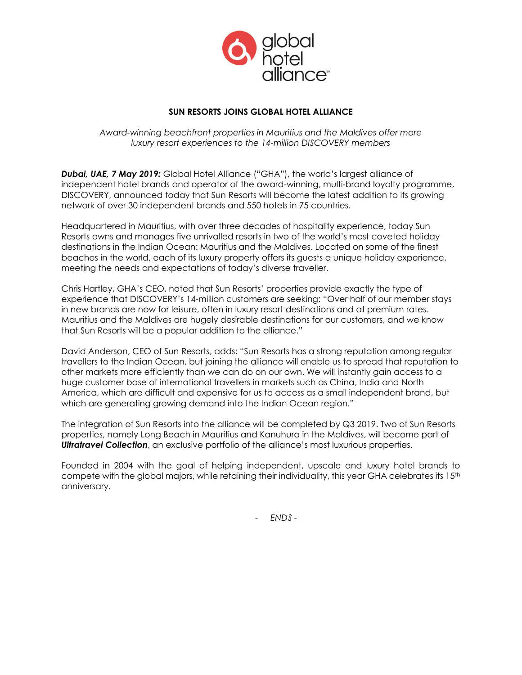

# **SUN RESORTS JOINS GLOBAL HOTEL ALLIANCE**

*Award-winning beachfront properties in Mauritius and the Maldives offer more luxury resort experiences to the 14-million DISCOVERY members*

*Dubai, UAE, 7 May 2019:* Global Hotel Alliance ("GHA"), the world's largest alliance of independent hotel brands and operator of the award-winning, multi-brand loyalty programme, DISCOVERY, announced today that Sun Resorts will become the latest addition to its growing network of over 30 independent brands and 550 hotels in 75 countries.

Headquartered in Mauritius, with over three decades of hospitality experience, today Sun Resorts owns and manages five unrivalled resorts in two of the world's most coveted holiday destinations in the Indian Ocean: Mauritius and the Maldives. Located on some of the finest beaches in the world, each of its luxury property offers its guests a unique holiday experience, meeting the needs and expectations of today's diverse traveller.

Chris Hartley, GHA's CEO, noted that Sun Resorts' properties provide exactly the type of experience that DISCOVERY's 14-million customers are seeking: "Over half of our member stays in new brands are now for leisure, often in luxury resort destinations and at premium rates. Mauritius and the Maldives are hugely desirable destinations for our customers, and we know that Sun Resorts will be a popular addition to the alliance."

David Anderson, CEO of Sun Resorts, adds: "Sun Resorts has a strong reputation among regular travellers to the Indian Ocean, but joining the alliance will enable us to spread that reputation to other markets more efficiently than we can do on our own. We will instantly gain access to a huge customer base of international travellers in markets such as China, India and North America, which are difficult and expensive for us to access as a small independent brand, but which are generating growing demand into the Indian Ocean region."

The integration of Sun Resorts into the alliance will be completed by Q3 2019. Two of Sun Resorts properties, namely Long Beach in Mauritius and Kanuhura in the Maldives, will become part of *Ultratravel Collection*, an exclusive portfolio of the alliance's most luxurious properties.

Founded in 2004 with the goal of helping independent, upscale and luxury hotel brands to compete with the global majors, while retaining their individuality, this year GHA celebrates its  $15<sup>th</sup>$ anniversary.

- *ENDS -*